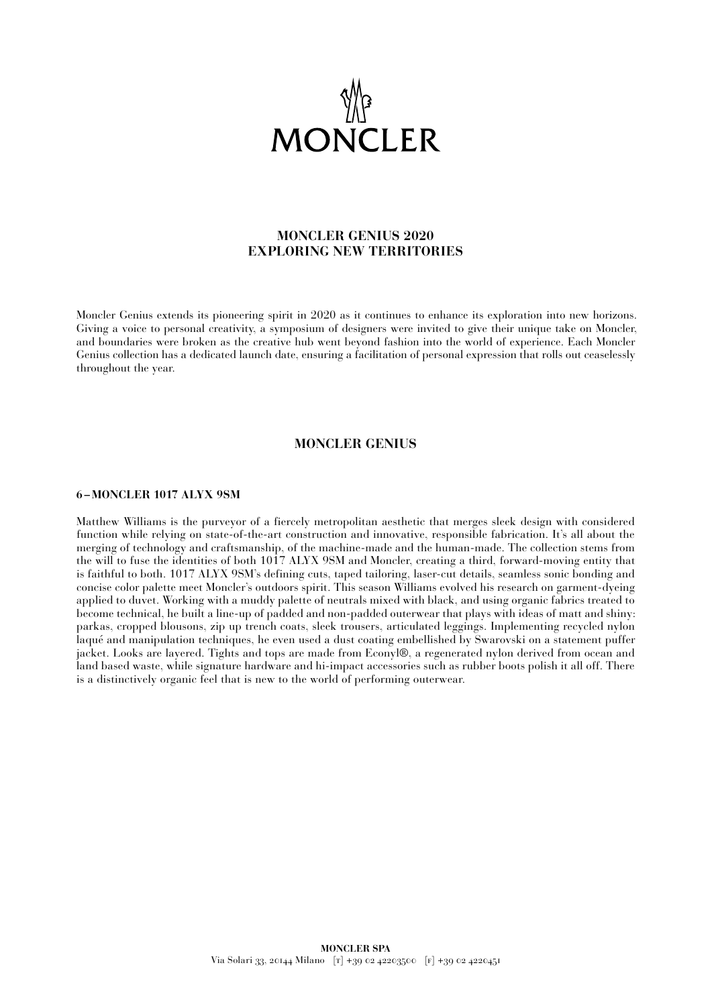

# **MONCLER GENIUS 2020 EXPLORING NEW TERRITORIES**

Moncler Genius extends its pioneering spirit in 2020 as it continues to enhance its exploration into new horizons. Giving a voice to personal creativity, a symposium of designers were invited to give their unique take on Moncler, and boundaries were broken as the creative hub went beyond fashion into the world of experience. Each Moncler Genius collection has a dedicated launch date, ensuring a facilitation of personal expression that rolls out ceaselessly throughout the year.

## **MONCLER GENIUS**

### **6 –MONCLER 1017 ALYX 9SM**

Matthew Williams is the purveyor of a fiercely metropolitan aesthetic that merges sleek design with considered function while relying on state-of-the-art construction and innovative, responsible fabrication. It's all about the merging of technology and craftsmanship, of the machine-made and the human-made. The collection stems from the will to fuse the identities of both 1017 ALYX 9SM and Moncler, creating a third, forward-moving entity that is faithful to both. 1017 ALYX 9SM's defining cuts, taped tailoring, laser-cut details, seamless sonic bonding and concise color palette meet Moncler's outdoors spirit. This season Williams evolved his research on garment-dyeing applied to duvet. Working with a muddy palette of neutrals mixed with black, and using organic fabrics treated to become technical, he built a line-up of padded and non-padded outerwear that plays with ideas of matt and shiny: parkas, cropped blousons, zip up trench coats, sleek trousers, articulated leggings. Implementing recycled nylon laqué and manipulation techniques, he even used a dust coating embellished by Swarovski on a statement puffer jacket. Looks are layered. Tights and tops are made from Econyl®, a regenerated nylon derived from ocean and land based waste, while signature hardware and hi-impact accessories such as rubber boots polish it all off. There is a distinctively organic feel that is new to the world of performing outerwear.